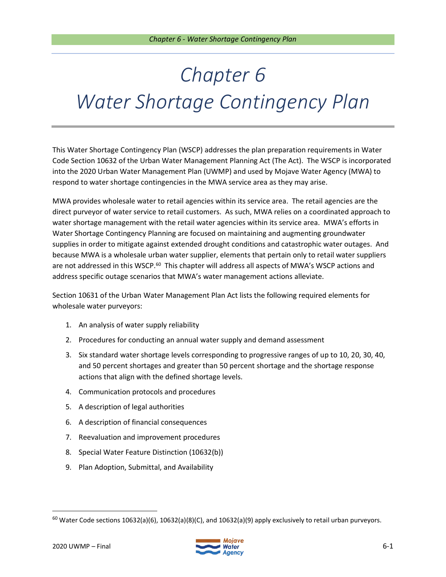This Water Shortage Contingency Plan (WSCP) addresses the plan preparation requirements in Water Code Section 10632 of the Urban Water Management Planning Act (The Act). The WSCP is incorporated into the 2020 Urban Water Management Plan (UWMP) and used by Mojave Water Agency (MWA) to respond to water shortage contingencies in the MWA service area as they may arise.

MWA provides wholesale water to retail agencies within its service area. The retail agencies are the direct purveyor of water service to retail customers. As such, MWA relies on a coordinated approach to water shortage management with the retail water agencies within its service area. MWA's efforts in Water Shortage Contingency Planning are focused on maintaining and augmenting groundwater supplies in order to mitigate against extended drought conditions and catastrophic water outages. And because MWA is a wholesale urban water supplier, elements that pertain only to retail water suppliers are not addressed in this WSCP.<sup>60</sup> This chapter will address all aspects of MWA's WSCP actions and address specific outage scenarios that MWA's water management actions alleviate.

Section 10631 of the Urban Water Management Plan Act lists the following required elements for wholesale water purveyors:

- 1. An analysis of water supply reliability
- 2. Procedures for conducting an annual water supply and demand assessment
- 3. Six standard water shortage levels corresponding to progressive ranges of up to 10, 20, 30, 40, and 50 percent shortages and greater than 50 percent shortage and the shortage response actions that align with the defined shortage levels.
- 4. Communication protocols and procedures
- 5. A description of legal authorities
- 6. A description of financial consequences
- 7. Reevaluation and improvement procedures
- 8. Special Water Feature Distinction (10632(b))
- 9. Plan Adoption, Submittal, and Availability



<sup>&</sup>lt;sup>60</sup> Water Code sections 10632(a)(6), 10632(a)(8)(C), and 10632(a)(9) apply exclusively to retail urban purveyors.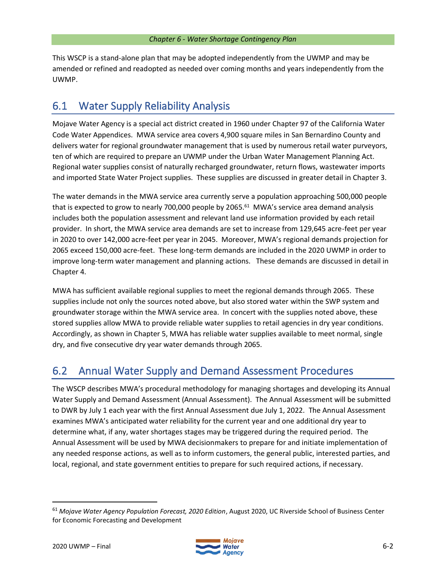This WSCP is a stand-alone plan that may be adopted independently from the UWMP and may be amended or refined and readopted as needed over coming months and years independently from the UWMP.

# 6.1 Water Supply Reliability Analysis

Mojave Water Agency is a special act district created in 1960 under Chapter 97 of the California Water Code Water Appendices. MWA service area covers 4,900 square miles in San Bernardino County and delivers water for regional groundwater management that is used by numerous retail water purveyors, ten of which are required to prepare an UWMP under the Urban Water Management Planning Act. Regional water supplies consist of naturally recharged groundwater, return flows, wastewater imports and imported State Water Project supplies. These supplies are discussed in greater detail in Chapter 3.

The water demands in the MWA service area currently serve a population approaching 500,000 people that is expected to grow to nearly 700,000 people by 2065.<sup>61</sup> MWA's service area demand analysis includes both the population assessment and relevant land use information provided by each retail provider. In short, the MWA service area demands are set to increase from 129,645 acre-feet per year in 2020 to over 142,000 acre-feet per year in 2045. Moreover, MWA's regional demands projection for 2065 exceed 150,000 acre-feet. These long-term demands are included in the 2020 UWMP in order to improve long-term water management and planning actions. These demands are discussed in detail in Chapter 4.

MWA has sufficient available regional supplies to meet the regional demands through 2065. These supplies include not only the sources noted above, but also stored water within the SWP system and groundwater storage within the MWA service area. In concert with the supplies noted above, these stored supplies allow MWA to provide reliable water supplies to retail agencies in dry year conditions. Accordingly, as shown in Chapter 5, MWA has reliable water supplies available to meet normal, single dry, and five consecutive dry year water demands through 2065.

# 6.2 Annual Water Supply and Demand Assessment Procedures

The WSCP describes MWA's procedural methodology for managing shortages and developing its Annual Water Supply and Demand Assessment (Annual Assessment). The Annual Assessment will be submitted to DWR by July 1 each year with the first Annual Assessment due July 1, 2022. The Annual Assessment examines MWA's anticipated water reliability for the current year and one additional dry year to determine what, if any, water shortages stages may be triggered during the required period. The Annual Assessment will be used by MWA decisionmakers to prepare for and initiate implementation of any needed response actions, as well as to inform customers, the general public, interested parties, and local, regional, and state government entities to prepare for such required actions, if necessary.



<sup>61</sup> *Mojave Water Agency Population Forecast, 2020 Edition*, August 2020, UC Riverside School of Business Center for Economic Forecasting and Development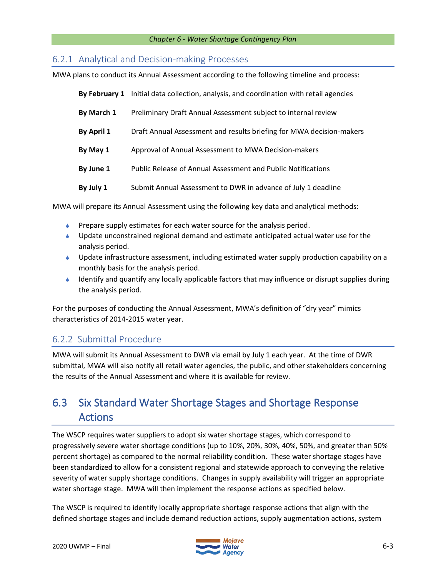## 6.2.1 Analytical and Decision-making Processes

MWA plans to conduct its Annual Assessment according to the following timeline and process:

|            | By February 1 Initial data collection, analysis, and coordination with retail agencies |  |  |
|------------|----------------------------------------------------------------------------------------|--|--|
| By March 1 | Preliminary Draft Annual Assessment subject to internal review                         |  |  |
| By April 1 | Draft Annual Assessment and results briefing for MWA decision-makers                   |  |  |
| By May 1   | Approval of Annual Assessment to MWA Decision-makers                                   |  |  |
| By June 1  | <b>Public Release of Annual Assessment and Public Notifications</b>                    |  |  |
| By July 1  | Submit Annual Assessment to DWR in advance of July 1 deadline                          |  |  |

MWA will prepare its Annual Assessment using the following key data and analytical methods:

- **Prepare supply estimates for each water source for the analysis period.**
- Update unconstrained regional demand and estimate anticipated actual water use for the analysis period.
- Update infrastructure assessment, including estimated water supply production capability on a monthly basis for the analysis period.
- $\bullet$  Identify and quantify any locally applicable factors that may influence or disrupt supplies during the analysis period.

For the purposes of conducting the Annual Assessment, MWA's definition of "dry year" mimics characteristics of 2014-2015 water year.

## 6.2.2 Submittal Procedure

MWA will submit its Annual Assessment to DWR via email by July 1 each year. At the time of DWR submittal, MWA will also notify all retail water agencies, the public, and other stakeholders concerning the results of the Annual Assessment and where it is available for review.

# 6.3 Six Standard Water Shortage Stages and Shortage Response Actions

The WSCP requires water suppliers to adopt six water shortage stages, which correspond to progressively severe water shortage conditions (up to 10%, 20%, 30%, 40%, 50%, and greater than 50% percent shortage) as compared to the normal reliability condition. These water shortage stages have been standardized to allow for a consistent regional and statewide approach to conveying the relative severity of water supply shortage conditions. Changes in supply availability will trigger an appropriate water shortage stage. MWA will then implement the response actions as specified below.

The WSCP is required to identify locally appropriate shortage response actions that align with the defined shortage stages and include demand reduction actions, supply augmentation actions, system

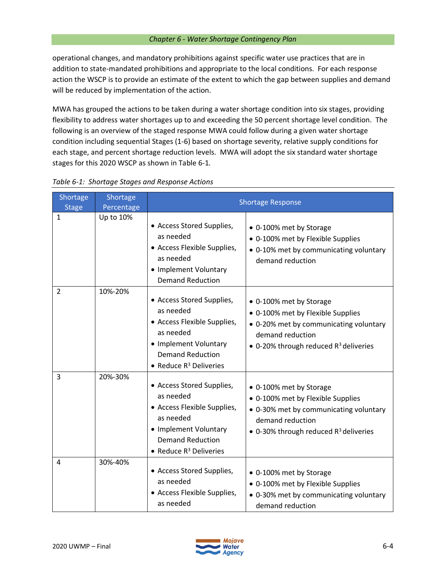operational changes, and mandatory prohibitions against specific water use practices that are in addition to state-mandated prohibitions and appropriate to the local conditions. For each response action the WSCP is to provide an estimate of the extent to which the gap between supplies and demand will be reduced by implementation of the action.

MWA has grouped the actions to be taken during a water shortage condition into six stages, providing flexibility to address water shortages up to and exceeding the 50 percent shortage level condition. The following is an overview of the staged response MWA could follow during a given water shortage condition including sequential Stages (1-6) based on shortage severity, relative supply conditions for each stage, and percent shortage reduction levels. MWA will adopt the six standard water shortage stages for this 2020 WSCP as shown in Table 6-1*.*

| Shortage<br><b>Stage</b> | Shortage<br>Percentage | <b>Shortage Response</b>                                                                                                                                            |                                                                                                                                                                        |  |
|--------------------------|------------------------|---------------------------------------------------------------------------------------------------------------------------------------------------------------------|------------------------------------------------------------------------------------------------------------------------------------------------------------------------|--|
| $\mathbf{1}$             | Up to 10%              | • Access Stored Supplies,<br>as needed<br>• Access Flexible Supplies,<br>as needed<br>• Implement Voluntary<br><b>Demand Reduction</b>                              | • 0-100% met by Storage<br>• 0-100% met by Flexible Supplies<br>• 0-10% met by communicating voluntary<br>demand reduction                                             |  |
| $\overline{2}$           | 10%-20%                | • Access Stored Supplies,<br>as needed<br>• Access Flexible Supplies,<br>as needed<br>• Implement Voluntary<br><b>Demand Reduction</b><br>• Reduce $R^3$ Deliveries | • 0-100% met by Storage<br>• 0-100% met by Flexible Supplies<br>• 0-20% met by communicating voluntary<br>demand reduction<br>• 0-20% through reduced $R^3$ deliveries |  |
| $\overline{3}$           | 20%-30%                | • Access Stored Supplies,<br>as needed<br>• Access Flexible Supplies,<br>as needed<br>• Implement Voluntary<br><b>Demand Reduction</b><br>• Reduce $R^3$ Deliveries | • 0-100% met by Storage<br>• 0-100% met by Flexible Supplies<br>• 0-30% met by communicating voluntary<br>demand reduction<br>• 0-30% through reduced $R^3$ deliveries |  |
| 4                        | 30%-40%                | • Access Stored Supplies,<br>as needed<br>• Access Flexible Supplies,<br>as needed                                                                                  | • 0-100% met by Storage<br>• 0-100% met by Flexible Supplies<br>• 0-30% met by communicating voluntary<br>demand reduction                                             |  |

### *Table 6-1: Shortage Stages and Response Actions*



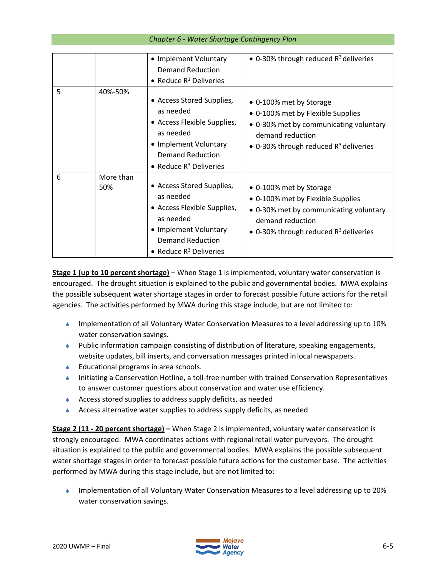|  |  | Chapter 6 - Water Shortage Contingency Plan |
|--|--|---------------------------------------------|
|--|--|---------------------------------------------|

|   |                  | • Implement Voluntary<br>Demand Reduction<br>• Reduce $R^3$ Deliveries                                                                                              | • 0-30% through reduced $R^3$ deliveries                                                                                                                               |
|---|------------------|---------------------------------------------------------------------------------------------------------------------------------------------------------------------|------------------------------------------------------------------------------------------------------------------------------------------------------------------------|
| 5 | 40%-50%          | • Access Stored Supplies,<br>as needed<br>• Access Flexible Supplies,<br>as needed<br>• Implement Voluntary<br>Demand Reduction<br>• Reduce $R^3$ Deliveries        | • 0-100% met by Storage<br>• 0-100% met by Flexible Supplies<br>• 0-30% met by communicating voluntary<br>demand reduction<br>• 0-30% through reduced $R^3$ deliveries |
| 6 | More than<br>50% | • Access Stored Supplies,<br>as needed<br>• Access Flexible Supplies,<br>as needed<br>• Implement Voluntary<br><b>Demand Reduction</b><br>• Reduce $R^3$ Deliveries | • 0-100% met by Storage<br>• 0-100% met by Flexible Supplies<br>• 0-30% met by communicating voluntary<br>demand reduction<br>• 0-30% through reduced $R^3$ deliveries |

**Stage 1 (up to 10 percent shortage)** – When Stage 1 is implemented, voluntary water conservation is encouraged. The drought situation is explained to the public and governmental bodies. MWA explains the possible subsequent water shortage stages in order to forecast possible future actions for the retail agencies. The activities performed by MWA during this stage include, but are not limited to:

- Implementation of all Voluntary Water Conservation Measures to a level addressing up to 10% water conservation savings.
- Public information campaign consisting of distribution of literature, speaking engagements, website updates, bill inserts, and conversation messages printed inlocal newspapers.
- **■** Educational programs in area schools.
- Initiating a Conservation Hotline, a toll-free number with trained Conservation Representatives to answer customer questions about conservation and water use efficiency.
- Access stored supplies to address supply deficits, as needed
- Access alternative water supplies to address supply deficits, as needed

**Stage 2 (11 - 20 percent shortage) –** When Stage 2 is implemented, voluntary water conservation is strongly encouraged. MWA coordinates actions with regional retail water purveyors. The drought situation is explained to the public and governmental bodies. MWA explains the possible subsequent water shortage stages in order to forecast possible future actions for the customer base. The activities performed by MWA during this stage include, but are not limited to:

 Implementation of all Voluntary Water Conservation Measures to a level addressing up to 20% water conservation savings.

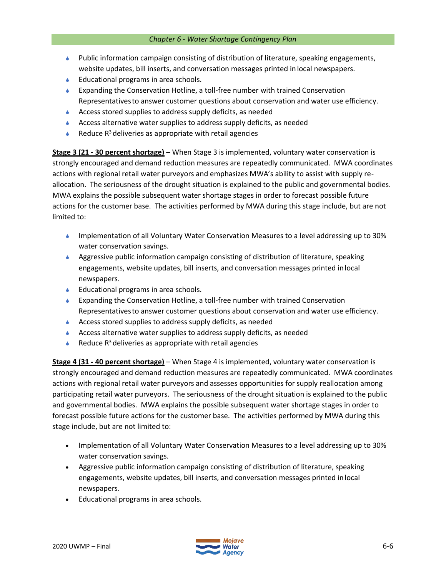- Public information campaign consisting of distribution of literature, speaking engagements, website updates, bill inserts, and conversation messages printed in local newspapers.
- **■** Educational programs in area schools.
- Expanding the Conservation Hotline, a toll-free number with trained Conservation Representativesto answer customer questions about conservation and water use efficiency.
- Access stored supplies to address supply deficits, as needed
- Access alternative water supplies to address supply deficits, as needed
- Reduce  $R^3$  deliveries as appropriate with retail agencies

**Stage 3 (21 - 30 percent shortage)** – When Stage 3 is implemented, voluntary water conservation is strongly encouraged and demand reduction measures are repeatedly communicated. MWA coordinates actions with regional retail water purveyors and emphasizes MWA's ability to assist with supply reallocation. The seriousness of the drought situation is explained to the public and governmental bodies. MWA explains the possible subsequent water shortage stages in order to forecast possible future actions for the customer base. The activities performed by MWA during this stage include, but are not limited to:

- Implementation of all Voluntary Water Conservation Measures to a level addressing up to 30% water conservation savings.
- Aggressive public information campaign consisting of distribution of literature, speaking engagements, website updates, bill inserts, and conversation messages printed inlocal newspapers.
- ◆ Educational programs in area schools.
- Expanding the Conservation Hotline, a toll-free number with trained Conservation Representativesto answer customer questions about conservation and water use efficiency.
- Access stored supplies to address supply deficits, as needed
- Access alternative water supplies to address supply deficits, as needed
- Reduce  $R^3$  deliveries as appropriate with retail agencies

**Stage 4 (31 - 40 percent shortage)** – When Stage 4 is implemented, voluntary water conservation is strongly encouraged and demand reduction measures are repeatedly communicated. MWA coordinates actions with regional retail water purveyors and assesses opportunities for supply reallocation among participating retail water purveyors. The seriousness of the drought situation is explained to the public and governmental bodies. MWA explains the possible subsequent water shortage stages in order to forecast possible future actions for the customer base. The activities performed by MWA during this stage include, but are not limited to:

- Implementation of all Voluntary Water Conservation Measures to a level addressing up to 30% water conservation savings.
- Aggressive public information campaign consisting of distribution of literature, speaking engagements, website updates, bill inserts, and conversation messages printed in local newspapers.
- Educational programs in area schools.

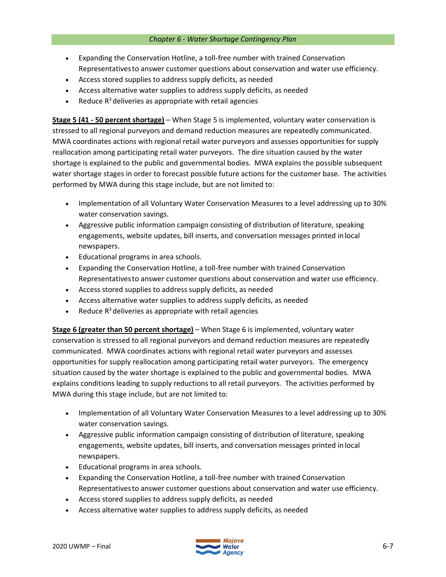- Expanding the Conservation Hotline, a toll-free number with trained Conservation Representativesto answer customer questions about conservation and water use efficiency.
- Access stored supplies to address supply deficits, as needed
- Access alternative water supplies to address supply deficits, as needed
- Reduce  $R^3$  deliveries as appropriate with retail agencies

**Stage 5 (41 - 50 percent shortage)** – When Stage 5 is implemented, voluntary water conservation is stressed to all regional purveyors and demand reduction measures are repeatedly communicated. MWA coordinates actions with regional retail water purveyors and assesses opportunities for supply reallocation among participating retail water purveyors. The dire situation caused by the water shortage is explained to the public and governmental bodies. MWA explains the possible subsequent water shortage stages in order to forecast possible future actions for the customer base. The activities performed by MWA during this stage include, but are not limited to:

- Implementation of all Voluntary Water Conservation Measures to a level addressing up to 30% water conservation savings.
- Aggressive public information campaign consisting of distribution of literature, speaking engagements, website updates, bill inserts, and conversation messages printed in local newspapers.
- Educational programs in area schools.
- Expanding the Conservation Hotline, a toll-free number with trained Conservation Representativesto answer customer questions about conservation and water use efficiency.
- Access stored supplies to address supply deficits, as needed
- Access alternative water supplies to address supply deficits, as needed
- Reduce  $R^3$  deliveries as appropriate with retail agencies

**Stage 6 (greater than 50 percent shortage)** – When Stage 6 is implemented, voluntary water conservation is stressed to all regional purveyors and demand reduction measures are repeatedly communicated. MWA coordinates actions with regional retail water purveyors and assesses opportunities for supply reallocation among participating retail water purveyors. The emergency situation caused by the water shortage is explained to the public and governmental bodies. MWA explains conditions leading to supply reductions to all retail purveyors. The activities performed by MWA during this stage include, but are not limited to:

- Implementation of all Voluntary Water Conservation Measures to a level addressing up to 30% water conservation savings.
- Aggressive public information campaign consisting of distribution of literature, speaking engagements, website updates, bill inserts, and conversation messages printed in local newspapers.
- Educational programs in area schools.
- Expanding the Conservation Hotline, a toll-free number with trained Conservation Representativesto answer customer questions about conservation and water use efficiency.
- Access stored supplies to address supply deficits, as needed
- Access alternative water supplies to address supply deficits, as needed

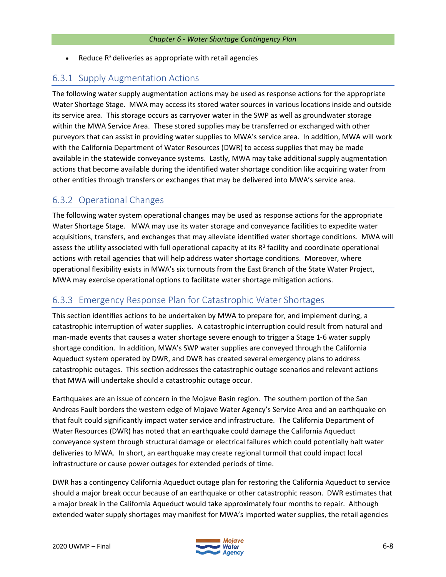• Reduce  $R<sup>3</sup>$  deliveries as appropriate with retail agencies

## 6.3.1 Supply Augmentation Actions

The following water supply augmentation actions may be used as response actions for the appropriate Water Shortage Stage. MWA may access its stored water sources in various locations inside and outside its service area. This storage occurs as carryover water in the SWP as well as groundwater storage within the MWA Service Area. These stored supplies may be transferred or exchanged with other purveyors that can assist in providing water supplies to MWA's service area. In addition, MWA will work with the California Department of Water Resources (DWR) to access supplies that may be made available in the statewide conveyance systems. Lastly, MWA may take additional supply augmentation actions that become available during the identified water shortage condition like acquiring water from other entities through transfers or exchanges that may be delivered into MWA's service area.

## 6.3.2 Operational Changes

The following water system operational changes may be used as response actions for the appropriate Water Shortage Stage. MWA may use its water storage and conveyance facilities to expedite water acquisitions, transfers, and exchanges that may alleviate identified water shortage conditions. MWA will assess the utility associated with full operational capacity at its  $R^3$  facility and coordinate operational actions with retail agencies that will help address water shortage conditions. Moreover, where operational flexibility exists in MWA's six turnouts from the East Branch of the State Water Project, MWA may exercise operational options to facilitate water shortage mitigation actions.

## 6.3.3 Emergency Response Plan for Catastrophic Water Shortages

This section identifies actions to be undertaken by MWA to prepare for, and implement during, a catastrophic interruption of water supplies. A catastrophic interruption could result from natural and man-made events that causes a water shortage severe enough to trigger a Stage 1-6 water supply shortage condition. In addition, MWA's SWP water supplies are conveyed through the California Aqueduct system operated by DWR, and DWR has created several emergency plans to address catastrophic outages. This section addresses the catastrophic outage scenarios and relevant actions that MWA will undertake should a catastrophic outage occur.

Earthquakes are an issue of concern in the Mojave Basin region. The southern portion of the San Andreas Fault borders the western edge of Mojave Water Agency's Service Area and an earthquake on that fault could significantly impact water service and infrastructure. The California Department of Water Resources (DWR) has noted that an earthquake could damage the California Aqueduct conveyance system through structural damage or electrical failures which could potentially halt water deliveries to MWA. In short, an earthquake may create regional turmoil that could impact local infrastructure or cause power outages for extended periods of time.

DWR has a contingency California Aqueduct outage plan for restoring the California Aqueduct to service should a major break occur because of an earthquake or other catastrophic reason. DWR estimates that a major break in the California Aqueduct would take approximately four months to repair. Although extended water supply shortages may manifest for MWA's imported water supplies, the retail agencies

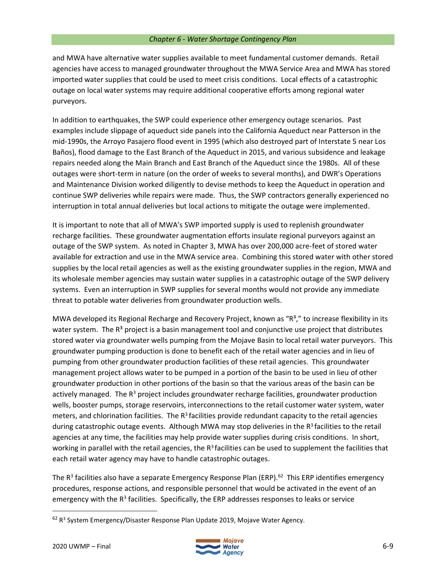and MWA have alternative water supplies available to meet fundamental customer demands. Retail agencies have access to managed groundwater throughout the MWA Service Area and MWA has stored imported water supplies that could be used to meet crisis conditions. Local effects of a catastrophic outage on local water systems may require additional cooperative efforts among regional water purveyors.

In addition to earthquakes, the SWP could experience other emergency outage scenarios. Past examples include slippage of aqueduct side panels into the California Aqueduct near Patterson in the mid-1990s, the Arroyo Pasajero flood event in 1995 (which also destroyed part of Interstate 5 near Los Baños), flood damage to the East Branch of the Aqueduct in 2015, and various subsidence and leakage repairs needed along the Main Branch and East Branch of the Aqueduct since the 1980s. All of these outages were short-term in nature (on the order of weeks to several months), and DWR's Operations and Maintenance Division worked diligently to devise methods to keep the Aqueduct in operation and continue SWP deliveries while repairs were made. Thus, the SWP contractors generally experienced no interruption in total annual deliveries but local actions to mitigate the outage were implemented.

It is important to note that all of MWA's SWP imported supply is used to replenish groundwater recharge facilities. These groundwater augmentation efforts insulate regional purveyors against an outage of the SWP system. As noted in Chapter 3, MWA has over 200,000 acre-feet of stored water available for extraction and use in the MWA service area. Combining this stored water with other stored supplies by the local retail agencies as well as the existing groundwater supplies in the region, MWA and its wholesale member agencies may sustain water supplies in a catastrophic outage of the SWP delivery systems. Even an interruption in SWP supplies for several months would not provide any immediate threat to potable water deliveries from groundwater production wells.

MWA developed its Regional Recharge and Recovery Project, known as "R<sup>3</sup>," to increase flexibility in its water system. The R<sup>3</sup> project is a basin management tool and conjunctive use project that distributes stored water via groundwater wells pumping from the Mojave Basin to local retail water purveyors. This groundwater pumping production is done to benefit each of the retail water agencies and in lieu of pumping from other groundwater production facilities of these retail agencies. This groundwater management project allows water to be pumped in a portion of the basin to be used in lieu of other groundwater production in other portions of the basin so that the various areas of the basin can be actively managed. The  $R<sup>3</sup>$  project includes groundwater recharge facilities, groundwater production wells, booster pumps, storage reservoirs, interconnections to the retail customer water system, water meters, and chlorination facilities. The R<sup>3</sup> facilities provide redundant capacity to the retail agencies during catastrophic outage events. Although MWA may stop deliveries in the  $R<sup>3</sup>$  facilities to the retail agencies at any time, the facilities may help provide water supplies during crisis conditions. In short, working in parallel with the retail agencies, the  $R<sup>3</sup>$  facilities can be used to supplement the facilities that each retail water agency may have to handle catastrophic outages.

The R<sup>3</sup> facilities also have a separate Emergency Response Plan (ERP).<sup>62</sup> This ERP identifies emergency procedures, response actions, and responsible personnel that would be activated in the event of an emergency with the R<sup>3</sup> facilities. Specifically, the ERP addresses responses to leaks or service



 $^{62}$  R<sup>3</sup> System Emergency/Disaster Response Plan Update 2019, Mojave Water Agency.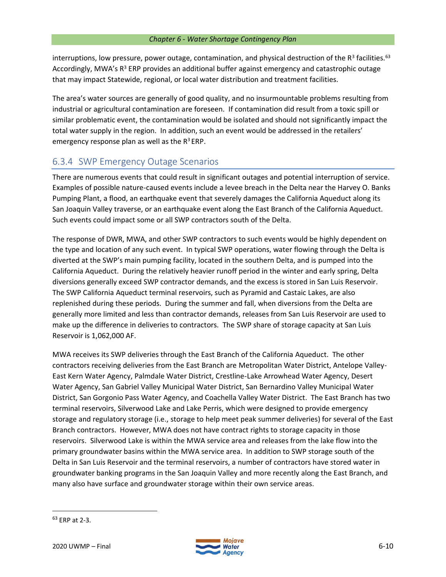interruptions, low pressure, power outage, contamination, and physical destruction of the  $R^3$  facilities.<sup>63</sup> Accordingly, MWA's  $R^3$  ERP provides an additional buffer against emergency and catastrophic outage that may impact Statewide, regional, or local water distribution and treatment facilities.

The area's water sources are generally of good quality, and no insurmountable problems resulting from industrial or agricultural contamination are foreseen. If contamination did result from a toxic spill or similar problematic event, the contamination would be isolated and should not significantly impact the total water supply in the region. In addition, such an event would be addressed in the retailers' emergency response plan as well as the  $R^3$  ERP.

## 6.3.4 SWP Emergency Outage Scenarios

There are numerous events that could result in significant outages and potential interruption of service. Examples of possible nature-caused events include a levee breach in the Delta near the Harvey O. Banks Pumping Plant, a flood, an earthquake event that severely damages the California Aqueduct along its San Joaquin Valley traverse, or an earthquake event along the East Branch of the California Aqueduct. Such events could impact some or all SWP contractors south of the Delta.

The response of DWR, MWA, and other SWP contractors to such events would be highly dependent on the type and location of any such event. In typical SWP operations, water flowing through the Delta is diverted at the SWP's main pumping facility, located in the southern Delta, and is pumped into the California Aqueduct. During the relatively heavier runoff period in the winter and early spring, Delta diversions generally exceed SWP contractor demands, and the excess is stored in San Luis Reservoir. The SWP California Aqueduct terminal reservoirs, such as Pyramid and Castaic Lakes, are also replenished during these periods. During the summer and fall, when diversions from the Delta are generally more limited and less than contractor demands, releases from San Luis Reservoir are used to make up the difference in deliveries to contractors. The SWP share of storage capacity at San Luis Reservoir is 1,062,000 AF.

MWA receives its SWP deliveries through the East Branch of the California Aqueduct. The other contractors receiving deliveries from the East Branch are Metropolitan Water District, Antelope Valley-East Kern Water Agency, Palmdale Water District, Crestline-Lake Arrowhead Water Agency, Desert Water Agency, San Gabriel Valley Municipal Water District, San Bernardino Valley Municipal Water District, San Gorgonio Pass Water Agency, and Coachella Valley Water District. The East Branch has two terminal reservoirs, Silverwood Lake and Lake Perris, which were designed to provide emergency storage and regulatory storage (i.e., storage to help meet peak summer deliveries) for several of the East Branch contractors. However, MWA does not have contract rights to storage capacity in those reservoirs. Silverwood Lake is within the MWA service area and releases from the lake flow into the primary groundwater basins within the MWA service area. In addition to SWP storage south of the Delta in San Luis Reservoir and the terminal reservoirs, a number of contractors have stored water in groundwater banking programs in the San Joaquin Valley and more recently along the East Branch, and many also have surface and groundwater storage within their own service areas.



 $63$  FRP at 2-3.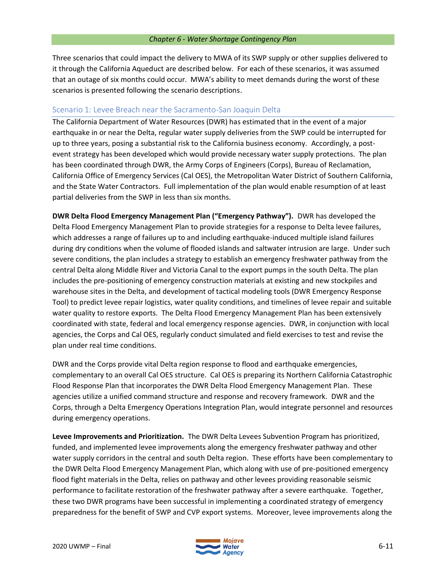Three scenarios that could impact the delivery to MWA of its SWP supply or other supplies delivered to it through the California Aqueduct are described below. For each of these scenarios, it was assumed that an outage of six months could occur. MWA's ability to meet demands during the worst of these scenarios is presented following the scenario descriptions.

### Scenario 1: Levee Breach near the Sacramento-San Joaquin Delta

The California Department of Water Resources (DWR) has estimated that in the event of a major earthquake in or near the Delta, regular water supply deliveries from the SWP could be interrupted for up to three years, posing a substantial risk to the California business economy. Accordingly, a postevent strategy has been developed which would provide necessary water supply protections. The plan has been coordinated through DWR, the Army Corps of Engineers (Corps), Bureau of Reclamation, California Office of Emergency Services (Cal OES), the Metropolitan Water District of Southern California, and the State Water Contractors. Full implementation of the plan would enable resumption of at least partial deliveries from the SWP in less than six months.

**DWR Delta Flood Emergency Management Plan ("Emergency Pathway").** DWR has developed the Delta Flood Emergency Management Plan to provide strategies for a response to Delta levee failures, which addresses a range of failures up to and including earthquake-induced multiple island failures during dry conditions when the volume of flooded islands and saltwater intrusion are large. Under such severe conditions, the plan includes a strategy to establish an emergency freshwater pathway from the central Delta along Middle River and Victoria Canal to the export pumps in the south Delta. The plan includes the pre-positioning of emergency construction materials at existing and new stockpiles and warehouse sites in the Delta, and development of tactical modeling tools (DWR Emergency Response Tool) to predict levee repair logistics, water quality conditions, and timelines of levee repair and suitable water quality to restore exports. The Delta Flood Emergency Management Plan has been extensively coordinated with state, federal and local emergency response agencies. DWR, in conjunction with local agencies, the Corps and Cal OES, regularly conduct simulated and field exercises to test and revise the plan under real time conditions.

DWR and the Corps provide vital Delta region response to flood and earthquake emergencies, complementary to an overall Cal OES structure. Cal OES is preparing its Northern California Catastrophic Flood Response Plan that incorporates the DWR Delta Flood Emergency Management Plan. These agencies utilize a unified command structure and response and recovery framework. DWR and the Corps, through a Delta Emergency Operations Integration Plan, would integrate personnel and resources during emergency operations.

**Levee Improvements and Prioritization.** The DWR Delta Levees Subvention Program has prioritized, funded, and implemented levee improvements along the emergency freshwater pathway and other water supply corridors in the central and south Delta region. These efforts have been complementary to the DWR Delta Flood Emergency Management Plan, which along with use of pre-positioned emergency flood fight materials in the Delta, relies on pathway and other levees providing reasonable seismic performance to facilitate restoration of the freshwater pathway after a severe earthquake. Together, these two DWR programs have been successful in implementing a coordinated strategy of emergency preparedness for the benefit of SWP and CVP export systems. Moreover, levee improvements along the

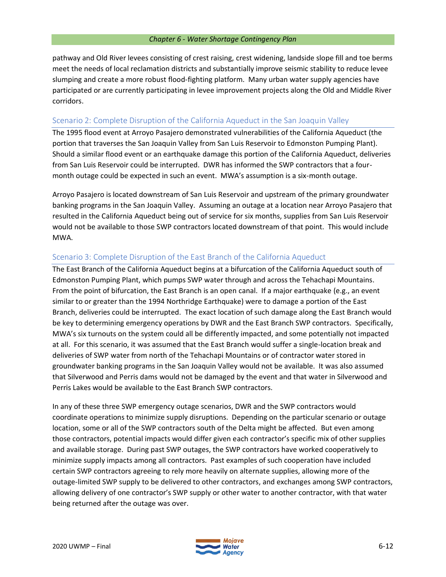pathway and Old River levees consisting of crest raising, crest widening, landside slope fill and toe berms meet the needs of local reclamation districts and substantially improve seismic stability to reduce levee slumping and create a more robust flood-fighting platform. Many urban water supply agencies have participated or are currently participating in levee improvement projects along the Old and Middle River corridors.

## Scenario 2: Complete Disruption of the California Aqueduct in the San Joaquin Valley

The 1995 flood event at Arroyo Pasajero demonstrated vulnerabilities of the California Aqueduct (the portion that traverses the San Joaquin Valley from San Luis Reservoir to Edmonston Pumping Plant). Should a similar flood event or an earthquake damage this portion of the California Aqueduct, deliveries from San Luis Reservoir could be interrupted. DWR has informed the SWP contractors that a fourmonth outage could be expected in such an event. MWA's assumption is a six-month outage.

Arroyo Pasajero is located downstream of San Luis Reservoir and upstream of the primary groundwater banking programs in the San Joaquin Valley. Assuming an outage at a location near Arroyo Pasajero that resulted in the California Aqueduct being out of service for six months, supplies from San Luis Reservoir would not be available to those SWP contractors located downstream of that point. This would include MWA.

## Scenario 3: Complete Disruption of the East Branch of the California Aqueduct

The East Branch of the California Aqueduct begins at a bifurcation of the California Aqueduct south of Edmonston Pumping Plant, which pumps SWP water through and across the Tehachapi Mountains. From the point of bifurcation, the East Branch is an open canal. If a major earthquake (e.g., an event similar to or greater than the 1994 Northridge Earthquake) were to damage a portion of the East Branch, deliveries could be interrupted. The exact location of such damage along the East Branch would be key to determining emergency operations by DWR and the East Branch SWP contractors. Specifically, MWA's six turnouts on the system could all be differently impacted, and some potentially not impacted at all. For this scenario, it was assumed that the East Branch would suffer a single-location break and deliveries of SWP water from north of the Tehachapi Mountains or of contractor water stored in groundwater banking programs in the San Joaquin Valley would not be available. It was also assumed that Silverwood and Perris dams would not be damaged by the event and that water in Silverwood and Perris Lakes would be available to the East Branch SWP contractors.

In any of these three SWP emergency outage scenarios, DWR and the SWP contractors would coordinate operations to minimize supply disruptions. Depending on the particular scenario or outage location, some or all of the SWP contractors south of the Delta might be affected. But even among those contractors, potential impacts would differ given each contractor's specific mix of other supplies and available storage. During past SWP outages, the SWP contractors have worked cooperatively to minimize supply impacts among all contractors. Past examples of such cooperation have included certain SWP contractors agreeing to rely more heavily on alternate supplies, allowing more of the outage-limited SWP supply to be delivered to other contractors, and exchanges among SWP contractors, allowing delivery of one contractor's SWP supply or other water to another contractor, with that water being returned after the outage was over.

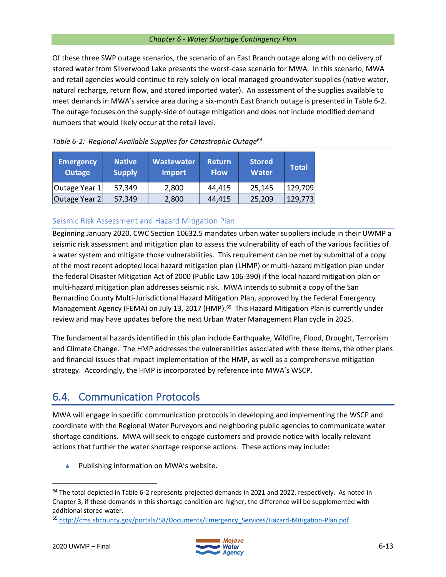Of these three SWP outage scenarios, the scenario of an East Branch outage along with no delivery of stored water from Silverwood Lake presents the worst-case scenario for MWA. In this scenario, MWA and retail agencies would continue to rely solely on local managed groundwater supplies (native water, natural recharge, return flow, and stored imported water). An assessment of the supplies available to meet demands in MWA's service area during a six-month East Branch outage is presented in Table 6-2. The outage focuses on the supply-side of outage mitigation and does not include modified demand numbers that would likely occur at the retail level.

| <b>Emergency</b><br>Outage | <b>Native</b><br><b>Supply</b> | Wastewater<br><b>Import</b> | <b>Return</b><br><b>Flow</b> | <b>Stored</b><br><b>Water</b> | <b>Total</b> |
|----------------------------|--------------------------------|-----------------------------|------------------------------|-------------------------------|--------------|
| Outage Year 1              | 57,349                         | 2,800                       | 44,415                       | 25,145                        | 129,709      |
| Outage Year 2              | 57,349                         | 2,800                       | 44,415                       | 25,209                        | 129,773      |

## *Table 6-2: Regional Available Supplies for Catastrophic Outage<sup>64</sup>*

## Seismic Risk Assessment and Hazard Mitigation Plan

Beginning January 2020, CWC Section 10632.5 mandates urban water suppliers include in their UWMP a seismic risk assessment and mitigation plan to assess the vulnerability of each of the various facilities of a water system and mitigate those vulnerabilities. This requirement can be met by submittal of a copy of the most recent adopted local hazard mitigation plan (LHMP) or multi-hazard mitigation plan under the federal Disaster Mitigation Act of 2000 (Public Law 106-390) if the local hazard mitigation plan or multi-hazard mitigation plan addresses seismic risk. MWA intends to submit a copy of the San Bernardino County Multi-Jurisdictional Hazard Mitigation Plan, approved by the Federal Emergency Management Agency (FEMA) on July 13, 2017 (HMP).<sup>65</sup> This Hazard Mitigation Plan is currently under review and may have updates before the next Urban Water Management Plan cycle in 2025.

The fundamental hazards identified in this plan include Earthquake, Wildfire, Flood, Drought, Terrorism and Climate Change. The HMP addresses the vulnerabilities associated with these items, the other plans and financial issues that impact implementation of the HMP, as well as a comprehensive mitigation strategy. Accordingly, the HMP is incorporated by reference into MWA's WSCP.

## 6.4. Communication Protocols

MWA will engage in specific communication protocols in developing and implementing the WSCP and coordinate with the Regional Water Purveyors and neighboring public agencies to communicate water shortage conditions. MWA will seek to engage customers and provide notice with locally relevant actions that further the water shortage response actions. These actions may include:

Publishing information on MWA's website.



 $64$  The total depicted in Table 6-2 represents projected demands in 2021 and 2022, respectively. As noted in Chapter 3, if these demands in this shortage condition are higher, the difference will be supplemented with additional stored water.

<sup>65</sup> [http://cms.sbcounty.gov/portals/58/Documents/Emergency\\_Services/Hazard-Mitigation-Plan.pdf](http://cms.sbcounty.gov/portals/58/Documents/Emergency_Services/Hazard-Mitigation-Plan.pdf)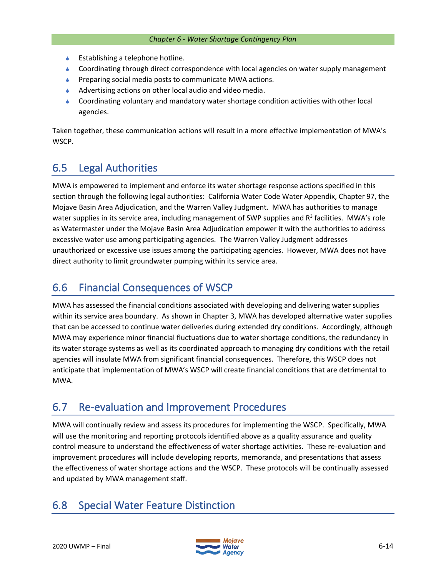- Establishing a telephone hotline.
- Coordinating through direct correspondence with local agencies on water supply management
- **Preparing social media posts to communicate MWA actions.**
- Advertising actions on other local audio and video media.
- Coordinating voluntary and mandatory water shortage condition activities with other local agencies.

Taken together, these communication actions will result in a more effective implementation of MWA's WSCP.

# 6.5 Legal Authorities

MWA is empowered to implement and enforce its water shortage response actions specified in this section through the following legal authorities: California Water Code Water Appendix, Chapter 97, the Mojave Basin Area Adjudication, and the Warren Valley Judgment. MWA has authorities to manage water supplies in its service area, including management of SWP supplies and  $R^3$  facilities. MWA's role as Watermaster under the Mojave Basin Area Adjudication empower it with the authorities to address excessive water use among participating agencies. The Warren Valley Judgment addresses unauthorized or excessive use issues among the participating agencies. However, MWA does not have direct authority to limit groundwater pumping within its service area.

# 6.6 Financial Consequences of WSCP

MWA has assessed the financial conditions associated with developing and delivering water supplies within its service area boundary. As shown in Chapter 3, MWA has developed alternative water supplies that can be accessed to continue water deliveries during extended dry conditions. Accordingly, although MWA may experience minor financial fluctuations due to water shortage conditions, the redundancy in its water storage systems as well as its coordinated approach to managing dry conditions with the retail agencies will insulate MWA from significant financial consequences. Therefore, this WSCP does not anticipate that implementation of MWA's WSCP will create financial conditions that are detrimental to MWA.

# 6.7 Re-evaluation and Improvement Procedures

MWA will continually review and assess its procedures for implementing the WSCP. Specifically, MWA will use the monitoring and reporting protocols identified above as a quality assurance and quality control measure to understand the effectiveness of water shortage activities. These re-evaluation and improvement procedures will include developing reports, memoranda, and presentations that assess the effectiveness of water shortage actions and the WSCP. These protocols will be continually assessed and updated by MWA management staff.

# 6.8 Special Water Feature Distinction